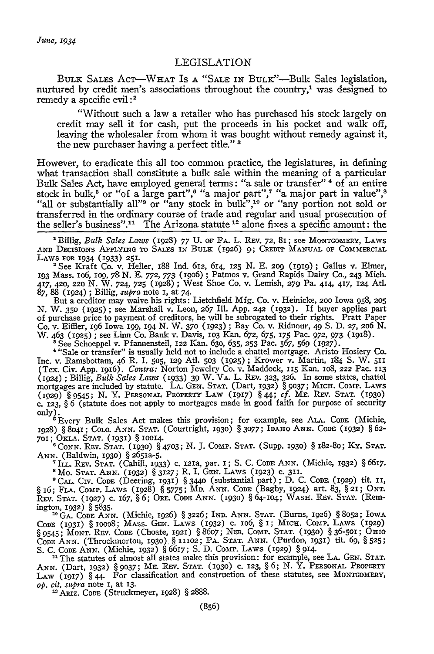## LEGISLATION

BULK SALES ACT-WHAT IS **A** "SALE IN BULK"-Bulk Sales legislation, nurtured by credit men's associations throughout the country,<sup>1</sup> was designed to remedy a specific evil **:** <sup>2</sup>

"Without such a law a retailer who has purchased his stock largely on credit may sell it for cash, put the proceeds in his pocket and walk off, leaving the wholesaler from whom it was bought without remedy against it, the new purchaser having a perfect title." s

However, to eradicate this all too common practice, the legislatures, in defining what transaction shall constitute a bulk sale within the meaning of a particular Bulk Sales Act, have employed general terms: "a sale or transfer"<sup>4</sup> of an entire stock in bulk,<sup>5</sup> or "of a large part",<sup>6</sup> "a major part",<sup>7</sup> "a major part in value",<sup>8</sup> "all or substantially all"<sup>9</sup> or "any stock in bulk",<sup>10</sup> or "any portion not sold or transferred in the ordinary course of trade and regular and usual prosecution of the seller's business"." The Arizona statute **1 <sup>2</sup>**alone fixes a specific amount: the

'Billig, *Bulk Sales Laws* (1928) 77 **U. OF PA.** L. **REV. 72,** 81; see MONTGOMERY, LAWS **AND** DisioSNS **APPLYING** TO **SALES** IN **BuLE** (1926) 9; **CREDIT MANUAL OF** COGIMERCIAL **LAWS FOR** 1934 (1933) 251.

**<sup>2</sup>**See Kraft Co. v. Heller, 188 Ind. 612, 614, 125 N. E. **209 (1919);** Gallus v. Elmer, 193 Mass. **io6, 109,** 78 N. E. **772,** 773 (19o6) **;** Patmos v. Grand Rapids Dairy Co., 243 Mich. 417, 420, **220** N. W. 724, *725* (1928) ; West Shoe Co. v. Lemish, **279 Pa.** 414, 417, **124** Atl. **87,** 88 **(1924)** ; Billig, *supra* note I, at 74.

But a creditor may waive his rights: Lietchfield Mfg. Co. v. Heinicke, **200** Iowa **958, 205** N. W. 35o **(1925) ;** see Marshall v. Leon, 267 **Ill.** App. 242 (1932). If buyer applies part of purchase price to payment of creditors, he will be subrogated to their rights. Pratt Paper Co. v. Eiffier, 196 Iowa *199,* 194 N. W. 37o (1923) **;** Bay Co. v. Ridnour, 49 **S.** D. **27,** 2o6 N. W. 463 (1925) **;** see Linn Co. Bank v. Davis, **1O3** Kan. 672, 675, 175 Pac. **972,** 973 (1918).

'See Schoeppel v. Pfannensteil, 122 Kan. 630, 635, **253** Pac. 567, **569 (927).**

**'** "Sale or transfer" is usually held not to include a chattel mortgage. Aristo Hosiery Co. Inc. v. Ramsbottam, 46 R. I. **505,** 129 Atl. **503 (1925);** Krower v. Martin, 184 S. W. <sup>511</sup> (Tex. Cir. App. 1916). *Contra:* Norton jewelry Co. v. Maddock, **115** Kan. lO8, 222 Pac. **<sup>113</sup>** (1924) ; Billig, *Bulk Sales Laws* (1933) 39 W. VA. L. REV. **323,** 326. In some states, chattel mortgages are included by statute. LA. **GEN. STAT.** (Dart, **1932) § 9037;** MICH. **CoAI9.** LAws **(1929) §** 9545; N. Y. PERSONAL **PROPERTY** LAW **(1917) §** 44; *cf.* ME. **REV. STAT. (1930) C.** 123, **§** 6 (statute does not apply to mortgages made in good faith for purpose of security

only). 'Every Bulk Sales Act makes this provision; for example, see **ALA. CODE** (Michie, 1928) **§** 8o41; COLO. **ANN. STAT.** (Courtright, 1930) **§ 3077;** IDAHO **ANN.** CODE **(1932)** § 62-

**701; OKLA. STAT.** (1931) § 10014, **ICONN.** Rxv. **STAT.** (1930) § 4703; N. **J.** Comp. **STAT.** (Supp. **193o)** § 182-8o; Ky. **STAT. ANN.** (Baldwin, 1930) § 2651a-5.

IL.. REV. **STAT.** (Cahill, **1933) c. 121a,** par. I; S. C. **CODE ANN.** (Michie, 1932) § 6617. "Mo. **STAT. ANN.** (1932) § **3127;** R. I. **GEN.** LAws (1923) c. 311.

**9 CAL.** Civ. CODE (Deering, 1931) § 3440 (substantial part) ; D. C. CODE (1929) tit. **i1,** §16; **FLA. Comp.** LAWS (1928) § 5775; **MD.** ANN. **CODE** (Bagby, 1924) art. **83, § 21; ONT. REv. STAT.** (927) c. 167, § 6; ORE. CODE **ANIN. (193o)** § 64-1o4; **WASH.** Rsv. **STAT.** (Remington, 1932) § 5835.

<sup>30</sup> GA. CODE ANN. (Michie, 1926) § 3226; IND. ANN. STAT. (Burns, 1926) § 8052; IOWA<br>CODE (1931) § 10008; MASS. GEN. LAWS (1932) c. 106, § 1; MICH. COMP. LAWS (1929)<br>§ 9545; MONT. REV. CODE (Choate, 1921) § 8607; NEB. COMP **CODE ANN.** (Throckmorton, **1930) §** 11102; PA. **STAT. ANN.** (Purdon. **1931)** tit. **69,** § **525;** S. C. CODE **ANN.** (Michie, 1932) § 6617; **S.** D. **Comp. LAWS** (1929) § **914**

**n** The statutes of almost all states make this provision: for example, see **LA. GEN. STAT. ANN.** (Dart, 1932) **§ 9037;** ME. **REV. STAT.** (1930) **C. 123, §** 6; N. Y. PERSONAL PROPERTY LAW (1917) § 44. For classification and construction of these statutes, see MONTGOMERY *op. cit. supra* note I, at 13.

'ARiz. CODE (Struckmeyer, 1928) § 2888.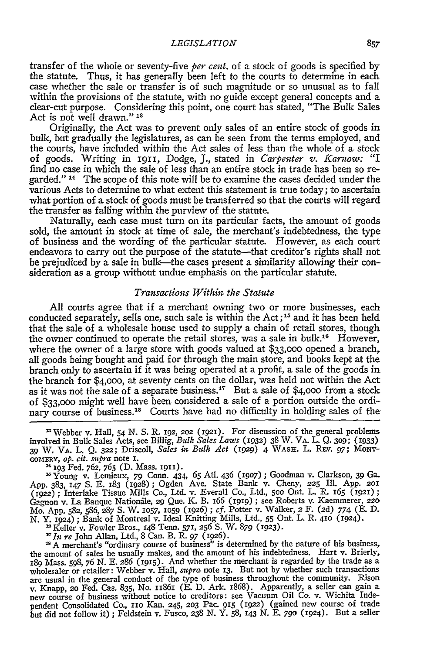transfer of the whole or seventy-five *per* cent. of a stock of goods is specified **by** the statute. Thus, it has generally been left to the courts to determine in each case whether the sale or transfer is of such magnitude or so unusual as to fall within the provisions of the statute, with no guide except general concepts and a clear-cut purpose. Considering this point, one court has stated, "The Bulk Sales Act is not well drawn."<sup>13</sup>

Originally, the Act was to prevent only sales of an entire stock of goods in bulk, but gradually the legislatures, as can be seen from the terms employed, and the courts, have included within the Act sales of less than the whole of a stock of goods. Writing in 1911, Dodge, **J.,** stated in *Carpenter V. Karnow: "I* find no case in which the sale of less than an entire stock in trade has been so regarded." 14 The scope of this note will be to examine the cases decided under the various Acts to determine to what extent this statement is true today; to ascertain what portion of a stock of goods must be transferred so that the courts will regard the transfer as falling within the purview of the statute.

Naturally, each case must turn on its particular facts, the amount of goods sold, the amount in stock at time of sale, the merchant's indebtedness, the type of business and the wording of the particular statute. However, as each court endeavors to carry out the purpose of the statute-that creditor's rights shall not be prejudiced by a sale in bulk—the cases present a similarity allowing their consideration as a group without undue emphasis on the particular statute.

## *Transactions Within the Statute*

**All** courts agree that if a merchant owning two or more businesses, each conducted separately, sells one, such sale is within the Act; **15** and it has been held that the sale of a wholesale house used to supply a chain of retail stores, though the owner continued to operate the retail stores, was a sale in bulk."6 However, where the owner of a large store with goods valued at **\$33,000** opened a branch, all goods being bought and paid for through the main store, and books kept at the branch only to ascertain if it was being operated at a profit, a sale of the goods in the branch for \$4,000, at seventy cents on the dollar, was held not within the Ac as it was not the sale of a separate business.<sup>17</sup> But a sale of \$4,000 from a stock of **\$33,000** might well have been considered a sale of a portion outside the ordinary course of business.<sup>18</sup> Courts have had no difficulty in holding sales of the

"Webber v. Hall, 54 N. S. R. 192, **202 (1921).** For discussion of the general problems involved in Bulk Sales Acts, see Billig, *Bulk Sales Laws* (1932) 38 W. VA. L. **Q.** 3o; (1933) **39** W. VA. L. **Q. 322;** Driscoll, *Sales in Bulk Act* (929) 4 **WAsr.** L. R-v. *97;* MONT-GOmERY, *op. cit. supra* note **I.**

**1'** 193 Fed. **762, 765 (D.** Mass. 1911).

Young v. Lemieux, **79** Conn. **434,** 65 AtI. 436 (19o7) **;** Goodman v. Clarkson, *39* **Ga.** App. 383, **147 S. E.** 183 (1928) **;** Ogden Ave. State Bank v. Cheny, **225 Ill.** App. **201** (1922) **;** Interlake Tissue Mills Co., Ltd. v. Everall Co., Ltd., **500** Ont. L. R. 165 **(i21) ;** Gagnon v. La Banque Nationale, 29 Que. K. B. 166 (1919); see Roberts v. Kaemmerer, 220<br>Mo. App. 582, 586, 287 S. W. 1057, 1059 (1926); cf. Potter v. Walker, 2 F. (2d) 774 (E. D. N. Y. 1924) **;** Bank of Montreal v. Ideal Knitting Mills, Ltd., 55 Ont. L. R. **410** (1924). **"** Keller v. Fowler Bros., 148 Tenn. **571, 256 S.** W. 879 (923).

*7In i-re* John Allan, Ltd., 8 Can. B. R. 97 (1926).

**<sup>28</sup>**A merchant's "ordinary course of business" is determined by the nature of his business, the amount of sales he usually makes, and the amount of his indebtedness. Hart v. Brierly, **189** Mass. **598,** 76 *N.* E. **286 (1915).** And whether the merchant is regarded by the trade as a wholesaler or retailer: Webber v. Hall, *supra* note 13. But not by whether such transactions are usual in the general conduct of the type of business throughout the community. Rison<br>v. Knapp, 20 Fed. Cas. 835, No. 11861 (E. D. Ark. 1868). Apparently, a seller can gain a new course of business without notice to creditors: see Vacuum Oil Co. v. Wichita Independent Consolidated Co., **i1O** Kan. 245, **203** Pac. 915 (1922) (gained new course of trade but did not follow it) **;** Feldstein v. Fusco, **238** *N.* Y. **58,** 143 *N.* E. **790** (I924). But a seller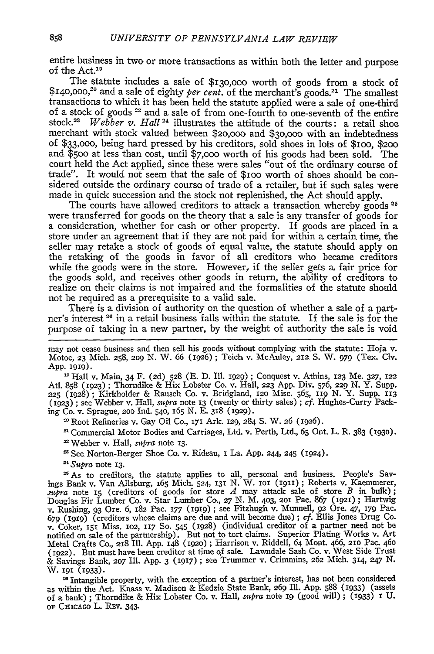entire business in two or more transactions as within both the letter and purpose of the Act.<sup>19</sup>

The statute includes a sale of \$13o,ooo worth of goods from a stock of \$140,000,<sup>20</sup> and a sale of eighty *per cent*. of the merchant's goods.<sup>21</sup> The smallest transactions to which it has been held the statute applied were a sale of one-third of a stock of goods 22 and a sale of from one-fourth to one-seventh of the entire stock.<sup>23</sup> *Webber v. Hall*<sup>24</sup> illustrates the attitude of the courts: a retail shoe merchant with stock valued between \$20,000 and \$30,000 with an indebtedness of \$33,ooo, being hard pressed by his creditors, sold shoes in lots of \$IOO, **\$200** and \$50o at less than cost, until **\$7,000** worth of his goods had been sold. The court held the Act applied, since these were sales "out of the ordinary course of trade". It would not seem that the sale of \$IOO worth of shoes should be considered outside the ordinary course of trade of a retailer, but if such sales were made in quick succession and the stock not replenished, the Act should apply.

The courts have allowed creditors to attack a transaction whereby goods **<sup>25</sup>** were transferred for goods on the theory that a sale is any transfer of goods for a consideration, whether for cash or other property. If goods are placed in a store under an agreement that if they are not paid for within a certain time, the seller may retake a stock of goods of equal value, the statute should apply on the retaking of the goods in favor of all creditors who became creditors while the goods were in the store. However, if the seller gets *a,* fair price for the goods sold, and receives other goods in return, the ability of creditors to realize on their claims is not impaired and the formalities of the statute should not be required as a prerequisite to a valid sale.

There is a division of authority on the question of whether a sale of a partner's interest <sup>26</sup> in a retail business falls within the statute. If the sale is for the purpose of taking in a new partner, by the weight of authority the sale is void

Hall v. Main, 34 F. (2d) 528 **(E.** D. Ill. *1929)* **;** Conquest v. Athins, 123 Me. **327,** <sup>122</sup> Atl. **858** (1923) ; Thorndike & Hix Lobster Co. v. Hall, **223** App. Div. 576, 229 **N.** Y. Supp. **225** (1928) **;** Kirkholder & Rausch Co. v. Bridgland, **12o** Misc. 565, iig N. Y. Supp. 113 (1923) ; see Webber v. Hall, supra note 13 (twenty or thirty sales) ; cf. Hughes-Curry Packing Co. v. Sprague, 200 Ind. 540, 165 N. E. 318 (1929).

**'** Root Refineries v. Gay Oil Co., *171* Ark. 129, 284 S. W. 26 (1926).

**'** Commercial Motor Bodies and Carriages, Ltd. v. Perth, Ltd., **65** Ont. L. R. 383 **(1930).**

Webber v. Hall, *supra* note **13.**

<sup>23</sup> See Norton-Berger Shoe Co. v. Rideau, I La. App. 244, 245 (1924).

**"** *Supra* note 13.

'As to creditors, the statute applies to all, personal and business. People's Savings Bank v. Van Allsburg, 165 Mich. 524, 131 **N.** W. ioi (1911) ; Roberts v. Kaemmerer, *supra* note **15** (creditors of goods for store *A* may attack sale of store *B* in bulk); Douglas Fir Lumber Co. v. Star Lumbev Co., **27** N. M. 403, **201** Pac. 867 (ig2i); Hartwig v. Rushing, 93 Ore. 6, 182 Pac. **177** (igig) ; see Fitzhugh v. Munnell, 92 Ore. *47,* 179 Pac. 679 **(1919)** (creditors whose claims are due and will become due) ; cf. Ellis Jones Drug Co. v. Coker, **151** Miss. O2, **117** So. 545 (1928) (individual creditor of a partner need not be notified on sale of the partnership). But not to tort claims. Superior Plating Works v. Art Metal Crafts Co., **218** Ill. App. 148 **(192o) ;** Harrison v. Riddell, 64 Mont. 466, **2IO** Pac. 46o (1922). But must have been creditor at time of sale. Lawndale Sash Co. v. West Side Trust & Savings Bank, *207* Ill. App. 3 (1917) **;** see Trummer v. Crimmins, 262 Mich. 314, 247 *N.* **W.** 191 **(1933).**

**d** Intangible property, with the exception of a partner's interest, has not been considered as within the Act. Knass v. Madison & Kedzie State Bank, 269 Ill. App. 588 (1933) (assets of a bank) ; Thorndike & Hix Lobster Co. v. Hall, *supra* note **ig** (good will) ; (1933) **I** U. of CHICAGO L. REV. 343.

may not cease business and then sell his goods without complying with the statute: Hoja v. Motoc, **23** Mich. 258, *209* **N.** W. 66 (1926); Teich v. McAuley, *212* S. W. *979* (Tex. Civ. App. **1919).**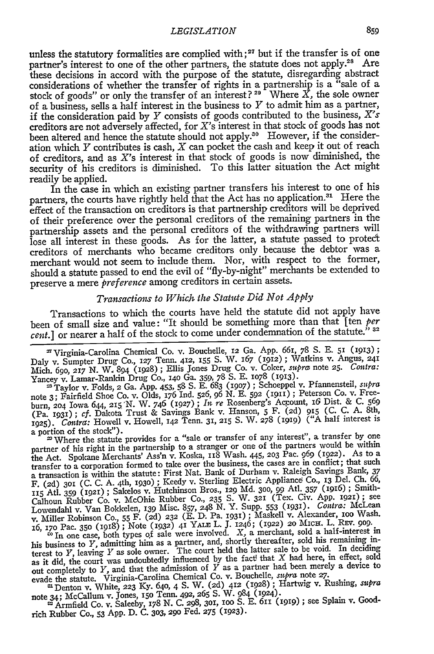unless the statutory formalities are complied with;<sup>27</sup> but if the transfer is of one partner's interest to one of the other partners, the statute does not apply.<sup>28</sup> Are these decisions in accord with the purpose of the statute, disregarding abstract considerations of whether the transfer of rights in a partnership is a "sale of a stock of goods" or only the transfer of an interest?<sup>29</sup> Where  $\overline{X}$ , the sole owner of a business, sells a half interest in the business to *Y* to admit him as a partner, if the consideration paid **by** *Y* consists of goods contributed to the business, X's creditors are not adversely affected, for X's interest in that stock of goods has not been altered and hence the statute should not apply.<sup>30</sup> However, if the consideration which  $Y$  contributes is cash,  $X$  can pocket the cash and keep it out of reach of creditors, and as X's interest in that stock of goods is now diminished, the security of his creditors is diminished. To this latter situation the Act might readily be applied.

In the case in which an existing partner transfers his interest to one of his partners, the courts have rightly held that the Act has no application.<sup>31</sup> Here the effect of the transaction on creditors is that partnership creditors will be deprived of their preference over the personal creditors of the remaining partners in the partnership assets and the personal creditors of the withdrawing partners will lose all interest in these goods. As for the latter, a statute passed to protect creditors of merchants who became creditors only because the debtor was a merchant would not seem to include them. Nor, with respect to the former, should a statute passed to end the evil of "fly-by-night" merchants be extended to preserve a mere *preference* among creditors in certain assets.

## *Transactions to Which the Statite Did Not Apply*

Transactions to which the courts have held the statute did not apply have been of small size and value: "It should be something more than that [ten *per cent.]* or nearer a half of the stock to come under condemnation of the statute." **<sup>32</sup>**

'Virginia-Carolina Chemical Co. v. Bouchelle, 12 Ga. App. 661, 78 **S. E.** 51 (913); Daly v. Sumpter Drug Co., 127 Tenn. 412, 155 S. W. 167 (1912); Watkins v. Angus, 241<br>Mich. 690, 217 N. W. 894 (1928); Ellis Jones Drug Co. v. Coker, *supra* note 25. Contra: Yancey v. Lanar-Rankin Drug Co., **14o** Ga. 359, **78 S. E.** 1O78 (913).

**'** Taylor v. Folds, 2 Ga. App. 453, **58 S. E. 683** (1907) **;** Schoeppel v. Pfannensteil, *supra* note 3; Fairfield Shoe Co. v. Olds, **176** Ind. **526, 96 N. E. 592** (1911) **;** Peterson Co. v. Freeburn, **2o4** Iowa 644, **225** 'N. W. 746 (927) **;** *In re* Rosenberg's Account, **i6** Dist. & **C.** *<sup>569</sup>* (Pa. 1931) **;** *cf.* Dakota Trust & Savings Bank v. Hanson, 5 F. **(2d) 915 (C. C.** A. 8th, 1925). *Contra:* Howell v. Howell, *142* Tenn. 31, **215 S.** W. **278 (2929)** ("A half interest is

a portion of the stock"). **'** Where the statute provides for a "sale or transfer of any interest", a transfer **by** one partner of his right in the partnership to a stranger or one of the partners would be within the Act. Spokane Merchants' Ass'n v. Koska, 228 Wash. 445, **203** Pac. *969* (1922). As to a transfer to a corporation formed to take over the business, the cases are in conflict; that such a transaction is within the statute: First Nat. Bank of Durham v. Raleigh Savings Bank, 37<br>F. (2d) 301 (C. C. A. 4th, 1930); Keedy v. Sterling Electric Appliance Co., 13 Del. Ch. 66,<br>IT5 Atl. 359 (1921); Sakelos v. Hutchin Lowendahl v. Van Bokkelen, **139** Misc. **857,** 248 **N.** Y. Supp. **553** (931). *Contra:* McLean v. Miller Robinson **Co., 55** F. (2d) **232 (E. D.** Pa. 193) **;** Maskell v. Alexander, **ioo** Wash. 16,  $170 \text{ PaC}$ ,  $350 \text{ (1918)}$ ; Note  $(1932)$   $41 \text{ YALE L}$ . J.  $1246$ ;  $(1922)$  20 MICH. L. REV. 909.<br>  $\text{m}$  In one case, both types of sale were involved. X, a merchant, sold a half-interest in

his business to Y, admitting him as a partner, and, shortly thereafter, sold his remaining interest to *Y*, leaving *Y* as sole owner. The court held the latter sale to be void. In deciding<br>terest to *Y*, leaving *Y* as sole owner. The court held the feed that *Y* had here in effect sole as it did, the court was undoubtedly influenced **by** the fact' that X had here, in effect, sold as it did, the court was andoubledly initially a partner had been merely a device to<br>evade the statute. Virginia-Carolina Chemical Co. v. Bouchelle, *supra* note *27*.

1Denton v. White, **223 Ky.** 640, 4 **S.** W. (2d) **412** (1928) ; Hartwig v. Rushing, *supra*

note 34; McCallum v. Jones, 15o Tenn. 492, 265 **S.** W. 984 (1924). **'** Armfield Co. v. Saleeby, **178 N. C.** 298, 301, ioo **S. E. 611 (2929) ;** see Splain v. Goodrich Rubber Co., 53 App. D. **C. 303,** *29o* Fed. **275** (1923).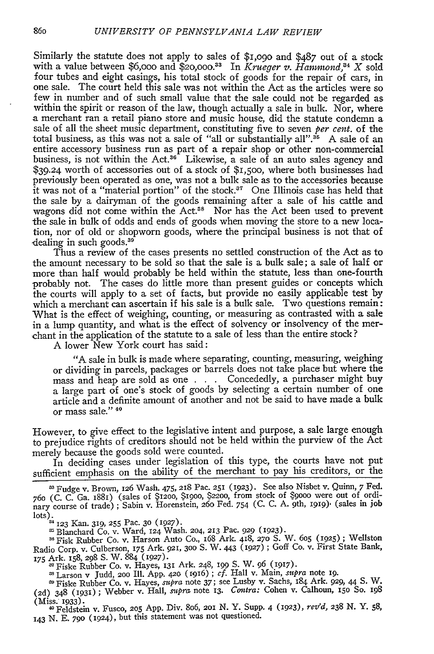Similarly the statute does not apply to sales of \$1,o9o and \$487 out of a stock with a value between \$6,000 and \$20,000.<sup>33</sup> In *Krueger v. Hammond*,<sup>34</sup> X sold four tubes and eight casings, his total stock of goods for the repair of cars, in one sale. The court held this sale was not within the Act as the articles were so few in number and of such small value that the sale could not be regarded as within the spirit or reason of the law, though actually a sale in bulk. Nor, where a merchant ran a retail piano store and music house, did the statute condemn a sale of all the sheet music department, constituting five to seven *per cent.* of the total business, as this was not a sale of "all or substantially all".<sup>35</sup> A sale of an entire accessory business run as part of a repair shop or other non-commercial business, is not within the Act.<sup>36</sup> Likewise, a sale of an auto sales agency and \$39.24 worth of accessories out of a stock of \$1,5oo, where both businesses had previously been operated as one, was not a bulk sale as to the accessories because it was not of a "material portion" of the stock. $37$  One Illinois case has held that the sale by a dairyman of the goods remaining after a sale of his cattle and wagons did not come within the Act.<sup>38</sup> Nor has the Act been used to prevent the sale in bulk of odds and ends of goods when moving the store to a new location, nor of old or shopworn goods, where the principal business is not that of dealing in such goods.<sup>39</sup>

Thus a review of the cases presents no settled construction of the Act as to the amount necessary to be sold so that the sale is a bulk sale; a sale of half or more than half would probably be held within the statute, less than one-fourth probably not. The cases do little more than present guides or concepts which the courts will apply to a set of facts, but provide no easily applicable test by which a merchant can ascertain if his sale is a bulk sale. Two questions remain: What is the effect of weighing, counting, or measuring as contrasted with a sale in a lump quantity, and what is the effect of solvency or insolvency of the merchant in the application of the statute to a sale of less than the entire stock?

A lower New York court has said:

"A sale in bulk is made where separating, counting, measuring, weighing or dividing in parcels, packages or barrels does not take place but where the mass and heap are sold as one . Concededly, a purchaser might buy a large part of one's stock of goods by selecting a certain number of one article and a definite amount of another and not be said to have made a bulk or mass sale."<sup>40</sup>

However, to give effect to the legislative intent and purpose, a sale large enough to prejudice rights of creditors should not be held within the purview of the Act merely because the goods sold were counted.

In deciding cases under legislation of this type, the courts have not put sufficient emphasis on the ability of the merchant to pay his creditors, or the

Fudge v. Brown, 126 Wash. 475, **218** Pac. 251 (1923). See also Nisbet v. Quinn, 7 Fed. 76o (C. C. Ga. 1881) (sales of **\$1200, \$1900,** \$2200, from stock of \$9o0o were out of ordi-nary course of trade) ; Sabin v. Horenstein, 26o Fed. 754 (C. C. A. 9th, **1919)-** (sales in job lots). 4123 **Kan.** 319, **255** Pac. **30 (1927).**

Blanchard Co. v. Ward, **124** Wash. 204, 213 Pac. 929 (923). Fisk Rubber Co. v. Harson Auto Co., 168 Ark. 418, *270* **S.** W. **605** (925) ; Wellston Radio Corp. v. Culberson, **175** Ark. 921, **300 S.** W. 443 (1927) ; Goff Co. v. First State Bank, 175 Ark. **158, 298 S.** W. **884 (1927).** Radio Corp. v. Culberson, 175 Ark. 921, 300 S. W. 443 (1927); Goff Co. v. First State Bank, 175 Ark. 158, 298 S. W. 884 (1927).<br><sup>37</sup> Fiske Rubber Co. v. Hayes, 131 Ark. 248, 199 S. W. 96 (1917).

Larson v Judd, **200 Ill. App. 420** (916) ; cf. **Hall v.** Main, *supra* note **19.**

Fiske Rubber Co. v. Hayes, *supra* note 37; see Lusby v. Sachs, 184 Ark. 929, 44 **S.** W. (2d) 348 (931) ; Webber v. Hall, *supra* note **13.** *Contra:* Cohen v. Calhoun, 15o **So.** <sup>198</sup> (Miss. 1933).

0 Feldstein **v.** Fusco, **205 App.** Div. 8o6, 2Ol **N.** Y. Supp. 4 (923), *rev'd, 238* **N.** Y. **58, 143** N. **E. 790** (I924), but this statement was not questioned.